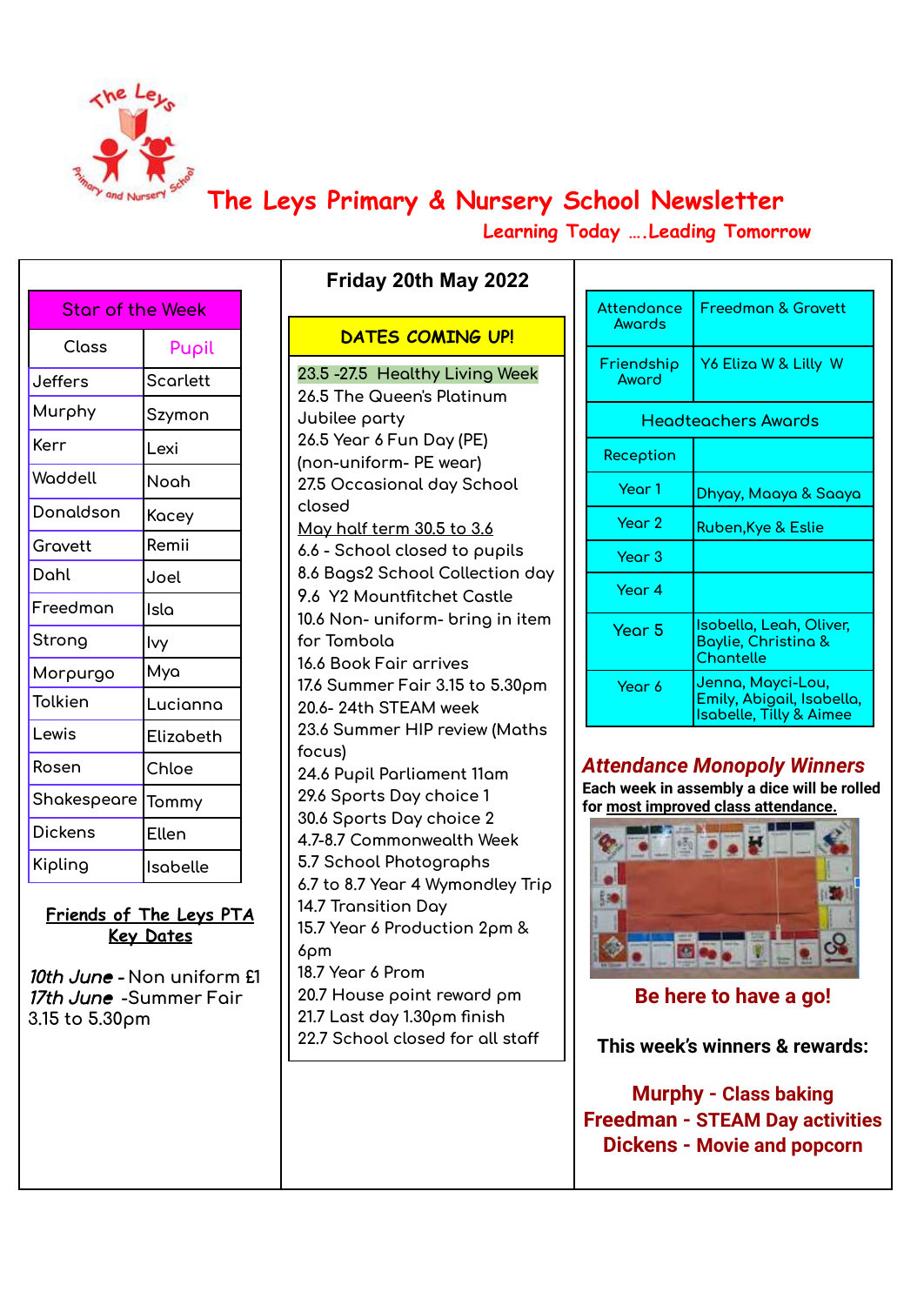

# **The Leys Primary & Nursery School Newsletter**

**Learning Today ….Leading Tomorrow**

| <b>Star of the Week</b> |                 |  |  |  |
|-------------------------|-----------------|--|--|--|
| Class                   | Pupil           |  |  |  |
| Jeffers                 | <b>Scarlett</b> |  |  |  |
| Murphy                  | Szymon          |  |  |  |
| Kerr                    | Lexi            |  |  |  |
| Waddell                 | Noah            |  |  |  |
| Donaldson               | Касеу           |  |  |  |
| Gravett                 | Remii           |  |  |  |
| Dahl                    | Joel            |  |  |  |
| Freedman                | Isla            |  |  |  |
| Strong                  | lvy             |  |  |  |
| Morpurgo                | Mya             |  |  |  |
| Tolkien                 | Lucianna        |  |  |  |
| Lewis                   | Elizabeth       |  |  |  |
| Rosen                   | Chloe           |  |  |  |
| Shakespeare             | Tommy           |  |  |  |
| <b>Dickens</b>          | Ellen           |  |  |  |
| Kipling                 | Isabelle        |  |  |  |

**Friends of The Leys PTA Key Dates**

10th June - **Non uniform £1** 17th June **-Summer Fair 3.15 to 5.30pm**

| <b>DATES COMING UP!</b>               |
|---------------------------------------|
| 23.5 -27.5 Healthy Living Week        |
| 26.5 The Queen's Platinum             |
| Jubilee party                         |
| 26.5 Year 6 Fun Day (PE)              |
| (non-uniform- PE wear)                |
| 27.5 Occasional day School            |
| closed                                |
| <u>May half term 30.5 to 3.6</u>      |
| 6.6 - School closed to pupils         |
| 8.6 Bags2 School Collection day       |
| 9.6 Y2 Mountfitchet Castle            |
| 10.6 Non- uniform- bring in item      |
| for Tombola<br>16.6 Book Fair arrives |
| 17.6 Summer Fair 3.15 to 5.30pm       |
| 20.6-24th STEAM week                  |
| 23.6 Summer HIP review (Maths         |
| focus)                                |
| 24.6 Pupil Parliament 11am            |
| 29.6 Sports Day choice 1              |
| 30.6 Sports Day choice 2              |
| 4.7-8.7 Commonwealth Week             |
| 5.7 School Photographs                |
| 6.7 to 8.7 Year 4 Wymondley Trip      |
| 14.7 Transition Day                   |
| 15.7 Year 6 Production 2pm &          |
| 6pm                                   |
| 18.7 Year 6 Prom                      |
| 20.7 House point reward pm            |
| 21.7 Last day 1.30pm finish           |
| 22.7 School closed for all staff      |
|                                       |

**Friday 20th May 2022**

| Attendance<br>Awords | <b>Freedman &amp; Gravett</b>                                                        |  |  |  |
|----------------------|--------------------------------------------------------------------------------------|--|--|--|
| Friendship<br>Aword  | Y6 Eliza W & Lilly W                                                                 |  |  |  |
| Headteachers Awards  |                                                                                      |  |  |  |
| Reception            |                                                                                      |  |  |  |
| Year 1               | Dhyay, Maaya & Saaya                                                                 |  |  |  |
| Year 2               | Ruben, Kye & Eslie                                                                   |  |  |  |
| Year 3               |                                                                                      |  |  |  |
| Year 4               |                                                                                      |  |  |  |
| Year 5               | <u>Isobella, Leah, Oliver,</u><br>Baylie, Christina &<br><b>Chantelle</b>            |  |  |  |
| Year 6               | Jenna, Mayci-Lou,<br>Emily, Abigail, Isabella,<br><b>Isabelle, Tilly &amp; Aimee</b> |  |  |  |

## *Attendance Monopoly Winners*

**Each week in assembly a dice will be rolled for most improved class attendance.**



# **Be here to have a go!**

**This week's winners & rewards:**

**Murphy - Class baking Freedman - STEAM Day activities Dickens - Movie and popcorn**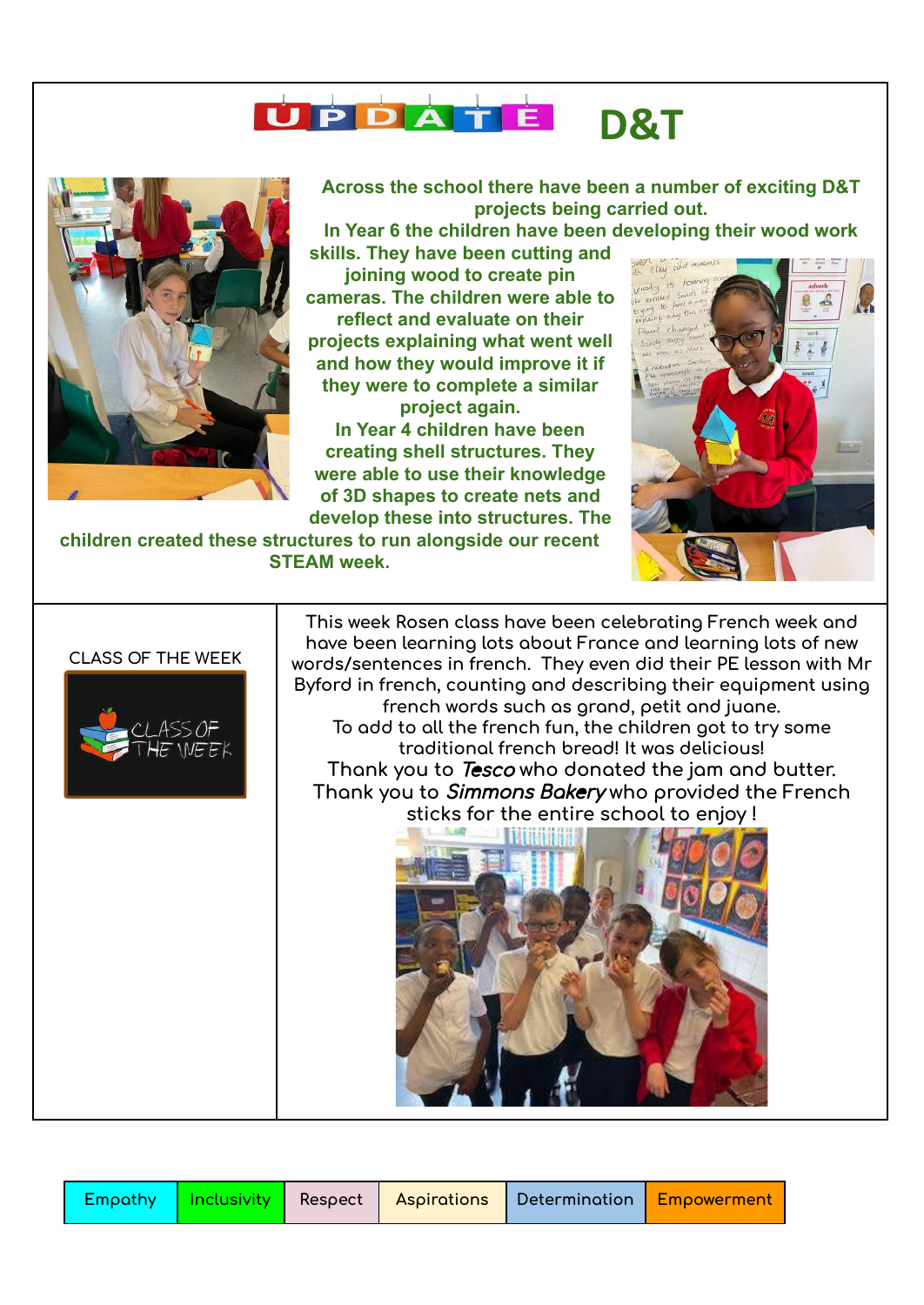



**Across the school there have been a number of exciting D&T projects being carried out.**

**In Year 6 the children have been developing their wood work**

**skills. They have been cutting and joining wood to create pin cameras. The children were able to reflect and evaluate on their projects explaining what went well and how they would improve it if they were to complete a similar project again.**

**In Year 4 children have been creating shell structures. They were able to use their knowledge of 3D shapes to create nets and develop these into structures. The**

**children created these structures to run alongside our recent STEAM week.**

### **CLASS OF THE WEEK**



**This week Rosen class have been celebrating French week and have been learning lots about France and learning lots of new words/sentences in french. They even did their PE lesson with Mr Byford in french, counting and describing their equipment using french words such as grand, petit and juane. To add to all the french fun, the children got to try some traditional french bread! It was delicious! Thank you to** Tesco **who donated the jam and butter. Thank you to** Simmons Bakery **who provided the French sticks for the entire school to enjoy !**



|  |  |  |  | <b>\Empathy   Inclusivity  </b> Respect   Aspirations   Determination   Empowerment |  |
|--|--|--|--|-------------------------------------------------------------------------------------|--|
|--|--|--|--|-------------------------------------------------------------------------------------|--|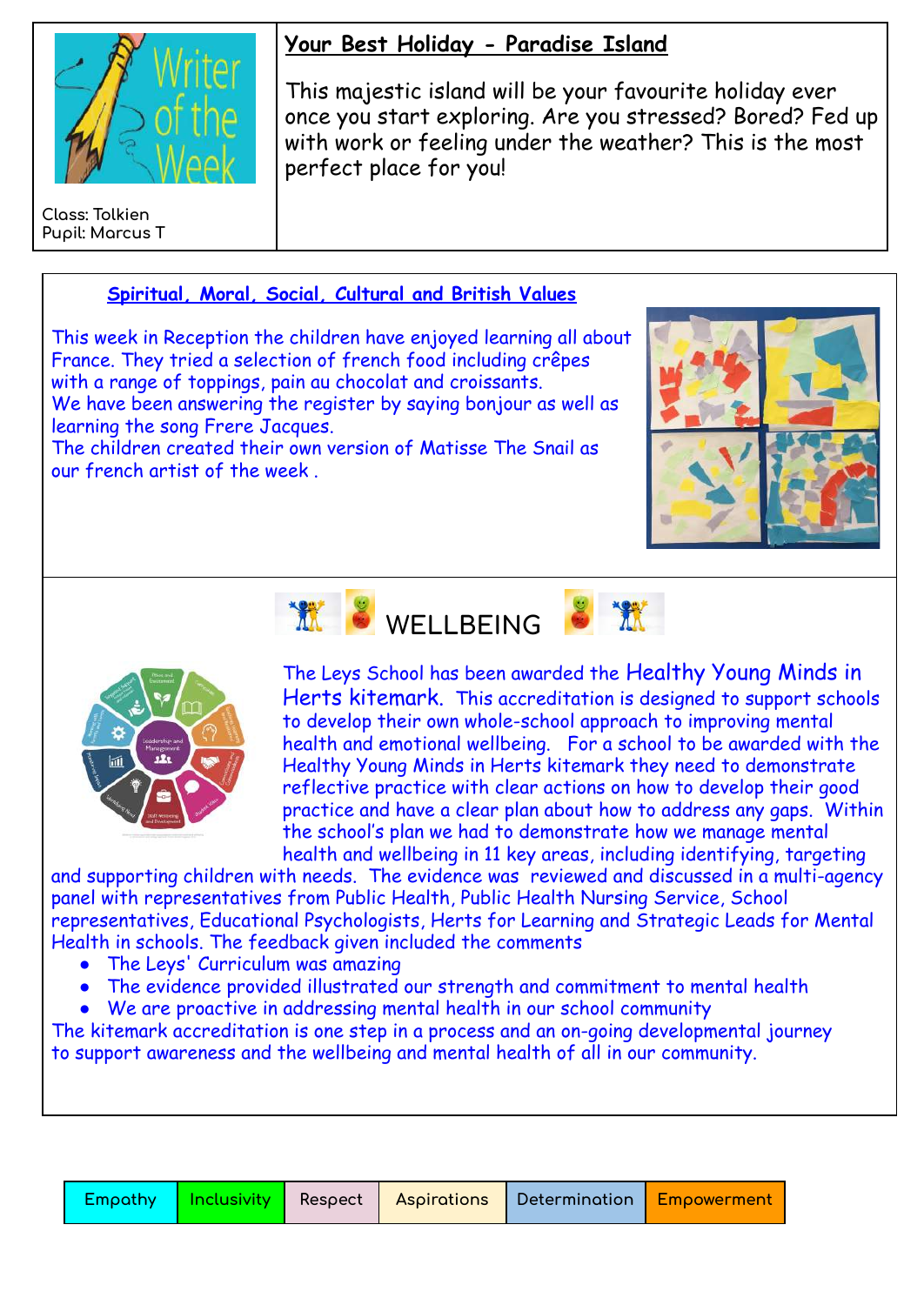

**Class: Tolkien Pupil: Marcus T**

# **Your Best Holiday - Paradise Island**

This majestic island will be your favourite holiday ever once you start exploring. Are you stressed? Bored? Fed up with work or feeling under the weather? This is the most perfect place for you!

# **Spiritual, Moral, Social, Cultural and British Values**

This week in Reception the children have enjoyed learning all about France. They tried a selection of french food including crêpes with a range of toppings, pain au chocolat and croissants. We have been answering the register by saying bonjour as well as learning the song Frere Jacques.

The children created their own version of Matisse The Snail as our french artist of the week .







The Leys School has been awarded the Healthy Young Minds in Herts kitemark. This accreditation is designed to support schools to develop their own whole-school approach to improving mental health and emotional wellbeing. For a school to be awarded with the Healthy Young Minds in Herts kitemark they need to demonstrate reflective practice with clear actions on how to develop their good practice and have a clear plan about how to address any gaps. Within the school's plan we had to demonstrate how we manage mental health and wellbeing in 11 key areas, including identifying, targeting

and supporting children with needs. The evidence was reviewed and discussed in a multi-agency panel with representatives from Public Health, Public Health Nursing Service, School representatives, Educational Psychologists, Herts for Learning and Strategic Leads for Mental Health in schools. The feedback given included the comments

- The Leys' Curriculum was amazing
- The evidence provided illustrated our strength and commitment to mental health
- We are proactive in addressing mental health in our school community

The kitemark accreditation is one step in a process and an on-going developmental journey to support awareness and the wellbeing and mental health of all in our community.

|  |  |  |  |  | Empathy   Inclusivity   Respect   Aspirations   Determination   Empowerment |
|--|--|--|--|--|-----------------------------------------------------------------------------|
|--|--|--|--|--|-----------------------------------------------------------------------------|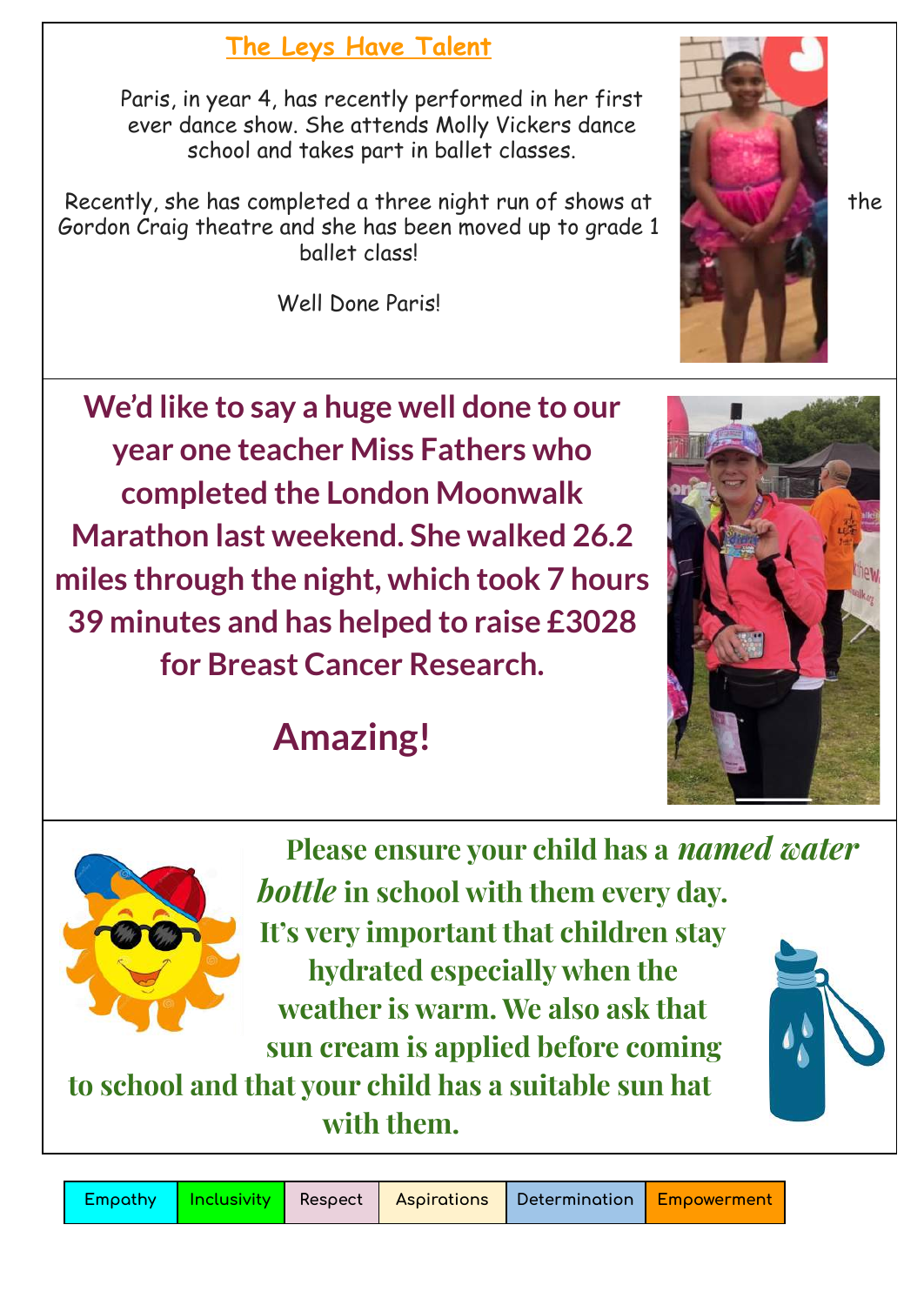# **The Leys Have Talent**

Paris, in year 4, has recently performed in her first ever dance show. She attends Molly Vickers dance school and takes part in ballet classes.

Recently, she has completed a three night run of shows at the the Gordon Craig theatre and she has been moved up to grade 1 ballet class!

Well Done Paris!

**We'd like to say a huge well done to our year one teacher Miss Fathers who completed the London Moonwalk Marathon last weekend. She walked 26.2 miles through the night, which took 7 hours 39 minutes and has helped to raise £3028 for Breast Cancer Research.**

# **Amazing!**



**Please ensure your child has a** *named water bottle* **in school with them every day. It's very important that children stay hydrated especially when the weather is warm. We also ask that**

**sun cream is applied before coming to school and that your child has a suitable sun hat with them.**



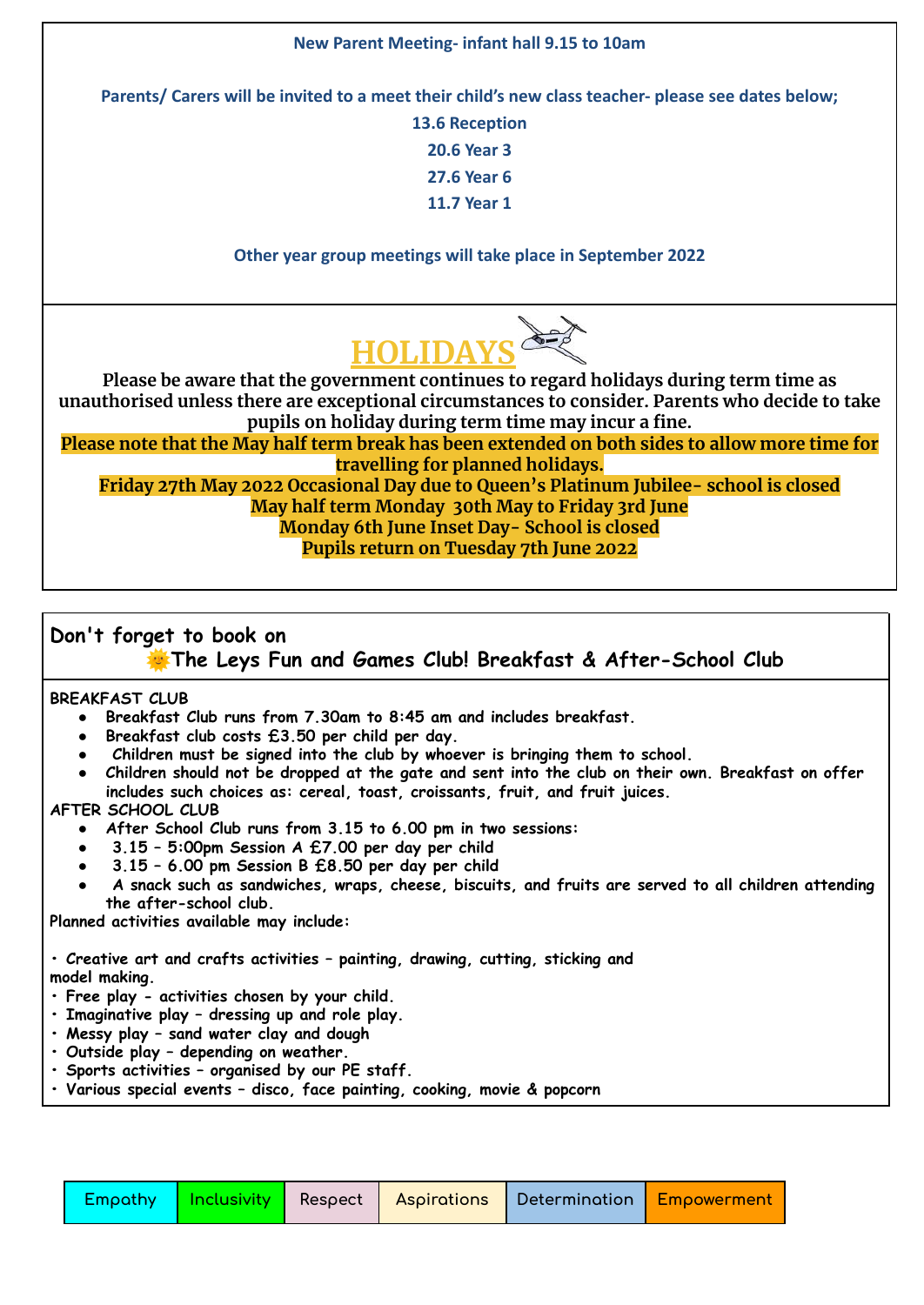#### **New Parent Meeting- infant hall 9.15 to 10am**

**Parents/ Carers will be invited to a meet their child's new class teacher- please see dates below;**

**13.6 Reception 20.6 Year 3 27.6 Year 6 11.7 Year 1**

**Other year group meetings will take place in September 2022**



**Please be aware that the government continues to regard holidays during term time as unauthorised unless there are exceptional circumstances to consider. Parents who decide to take pupils on holiday during term time may incur a fine.**

Please note that the May half term break has been extended on both sides to allow more time for **travelling for planned holidays.**

**Friday 27th May 2022 Occasional Day due to Queen's Platinum Jubilee- school is closed May half term Monday 30th May to Friday 3rd June Monday 6th June Inset Day- School is closed Pupils return on Tuesday 7th June 2022**

## **Don't forget to book on**

**The Leys Fun and Games Club! Breakfast & After-School Club**

**BREAKFAST CLUB**

- **● Breakfast Club runs from 7.30am to 8:45 am and includes breakfast.**
- **● Breakfast club costs £3.50 per child per day.**
- **● Children must be signed into the club by whoever is bringing them to school.**
- Children should not be dropped at the gate and sent into the club on their own. Breakfast on offer **includes such choices as: cereal, toast, croissants, fruit, and fruit juices.**

#### **AFTER SCHOOL CLUB**

- **● After School Club runs from 3.15 to 6.00 pm in two sessions:**
- **● 3.15 – 5:00pm Session A £7.00 per day per child**
- **● 3.15 – 6.00 pm Session B £8.50 per day per child**
- **● A snack such as sandwiches, wraps, cheese, biscuits, and fruits are served to all children attending the after-school club.**

**Planned activities available may include:**

**• Creative art and crafts activities – painting, drawing, cutting, sticking and model making.**

- **• Free play - activities chosen by your child.**
- **• Imaginative play – dressing up and role play.**
- **• Messy play – sand water clay and dough**
- **• Outside play – depending on weather.**
- **• Sports activities – organised by our PE staff.**
- **• Various special events – disco, face painting, cooking, movie & popcorn**

|  |  |  |  | Empathy   Inclusivity   Respect   Aspirations   Determination   Empowerment |  |
|--|--|--|--|-----------------------------------------------------------------------------|--|
|--|--|--|--|-----------------------------------------------------------------------------|--|